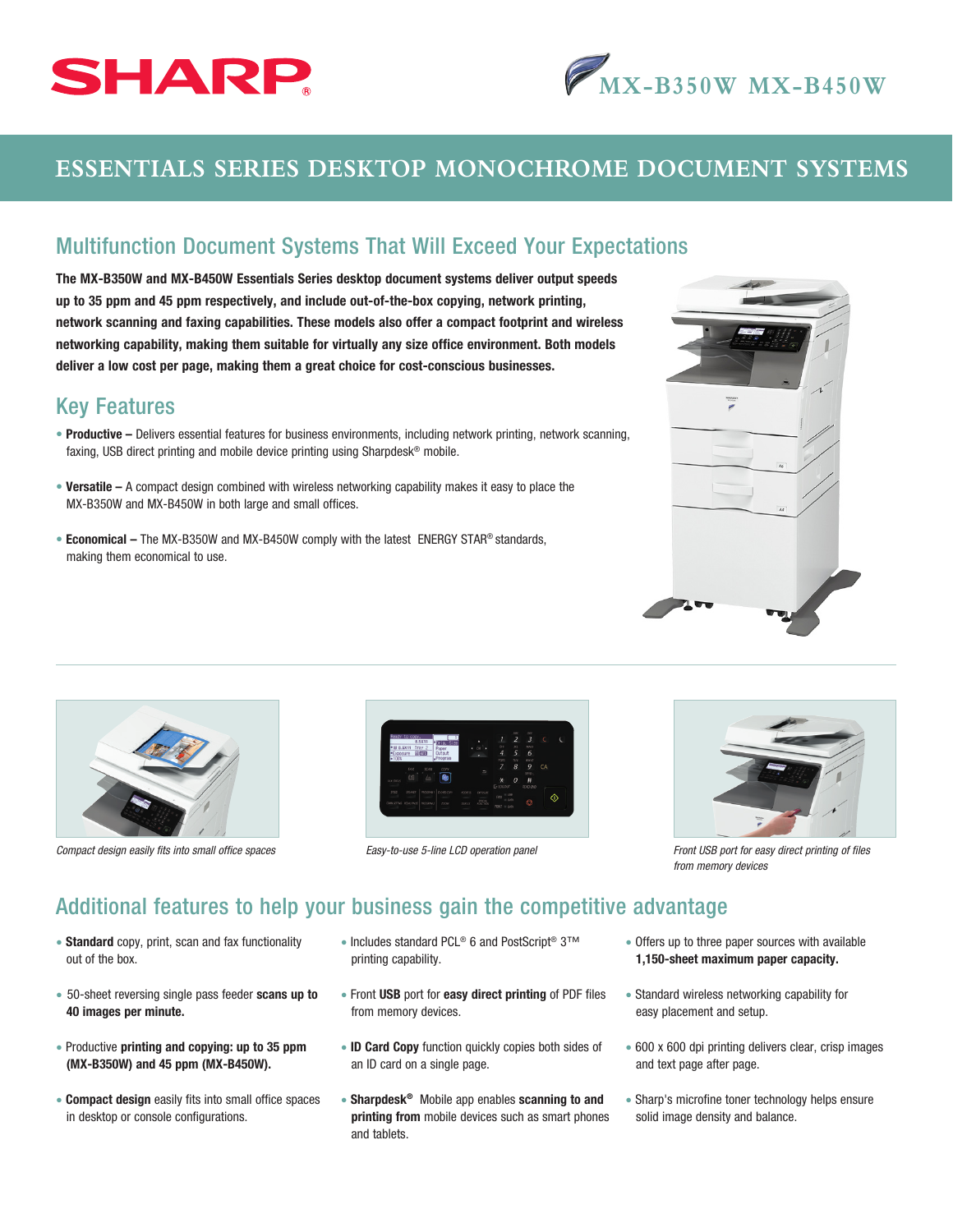



## **ESSENTIALS SERIES DESKTOP MONOCHROME DOCUMENT SYSTEMS**

## Multifunction Document Systems That Will Exceed Your Expectations

The MX-B350W and MX-B450W Essentials Series desktop document systems deliver output speeds up to 35 ppm and 45 ppm respectively, and include out-of-the-box copying, network printing, network scanning and faxing capabilities. These models also offer a compact footprint and wireless networking capability, making them suitable for virtually any size office environment. Both models deliver a low cost per page, making them a great choice for cost-conscious businesses.

## Key Features

- Productive Delivers essential features for business environments, including network printing, network scanning, faxing, USB direct printing and mobile device printing using Sharpdesk® mobile.
- Versatile A compact design combined with wireless networking capability makes it easy to place the MX-B350W and MX-B450W in both large and small offices.
- Economical The MX-B350W and MX-B450W comply with the latest ENERGY STAR® standards, making them economical to use.







*Easy-to-use 5-line LCD operation panel* 



*Compact design easily fits into small office spaces Fronties Front USB port for easy direct printing of files Front USB port for easy direct printing of files from memory devices*

## Additional features to help your business gain the competitive advantage

- Standard copy, print, scan and fax functionality out of the box.
- 50-sheet reversing single pass feeder scans up to 40 images per minute.
- Productive printing and copying: up to 35 ppm (MX-B350W) and 45 ppm (MX-B450W).
- **Compact design** easily fits into small office spaces in desktop or console configurations.
- Includes standard PCL® 6 and PostScript® 3™ printing capability.
- Front USB port for easy direct printing of PDF files from memory devices.
- ID Card Copy function quickly copies both sides of an ID card on a single page.
- Sharpdesk<sup>®</sup> Mobile app enables scanning to and printing from mobile devices such as smart phones and tablets.
- Offers up to three paper sources with available 1,150-sheet maximum paper capacity.
- Standard wireless networking capability for easy placement and setup.
- 600 x 600 dpi printing delivers clear, crisp images and text page after page.
- Sharp's microfine toner technology helps ensure solid image density and balance.